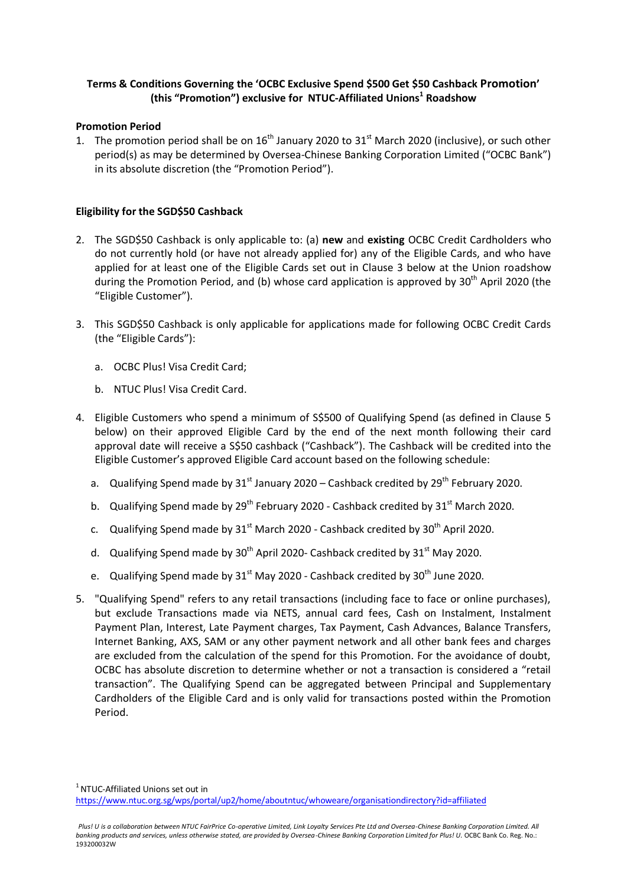# **Terms & Conditions Governing the 'OCBC Exclusive Spend \$500 Get \$50 Cashback Promotion' (this "Promotion") exclusive for NTUC-Affiliated Unions<sup>1</sup> Roadshow**

#### **Promotion Period**

1. The promotion period shall be on  $16<sup>th</sup>$  January 2020 to  $31<sup>st</sup>$  March 2020 (inclusive), or such other period(s) as may be determined by Oversea-Chinese Banking Corporation Limited ("OCBC Bank") in its absolute discretion (the "Promotion Period").

### **Eligibility for the SGD\$50 Cashback**

- 2. The SGD\$50 Cashback is only applicable to: (a) **new** and **existing** OCBC Credit Cardholders who do not currently hold (or have not already applied for) any of the Eligible Cards, and who have applied for at least one of the Eligible Cards set out in Clause 3 below at the Union roadshow during the Promotion Period, and (b) whose card application is approved by 30<sup>th</sup> April 2020 (the "Eligible Customer").
- 3. This SGD\$50 Cashback is only applicable for applications made for following OCBC Credit Cards (the "Eligible Cards"):
	- a. OCBC Plus! Visa Credit Card;
	- b. NTUC Plus! Visa Credit Card.
- 4. Eligible Customers who spend a minimum of S\$500 of Qualifying Spend (as defined in Clause 5 below) on their approved Eligible Card by the end of the next month following their card approval date will receive a S\$50 cashback ("Cashback"). The Cashback will be credited into the Eligible Customer's approved Eligible Card account based on the following schedule:
	- a. Qualifying Spend made by  $31<sup>st</sup>$  January 2020 Cashback credited by  $29<sup>th</sup>$  February 2020.
	- b. Qualifying Spend made by  $29^{th}$  February 2020 Cashback credited by  $31^{st}$  March 2020.
	- c. Qualifying Spend made by  $31<sup>st</sup>$  March 2020 Cashback credited by  $30<sup>th</sup>$  April 2020.
	- d. Qualifying Spend made by  $30<sup>th</sup>$  April 2020- Cashback credited by  $31<sup>st</sup>$  May 2020.
	- e. Qualifying Spend made by  $31^{st}$  May 2020 Cashback credited by  $30^{th}$  June 2020.
- 5. "Qualifying Spend" refers to any retail transactions (including face to face or online purchases), but exclude Transactions made via NETS, annual card fees, Cash on Instalment, Instalment Payment Plan, Interest, Late Payment charges, Tax Payment, Cash Advances, Balance Transfers, Internet Banking, AXS, SAM or any other payment network and all other bank fees and charges are excluded from the calculation of the spend for this Promotion. For the avoidance of doubt, OCBC has absolute discretion to determine whether or not a transaction is considered a "retail transaction". The Qualifying Spend can be aggregated between Principal and Supplementary Cardholders of the Eligible Card and is only valid for transactions posted within the Promotion Period.

 $1$  NTUC-Affiliated Unions set out in

<https://www.ntuc.org.sg/wps/portal/up2/home/aboutntuc/whoweare/organisationdirectory?id=affiliated>